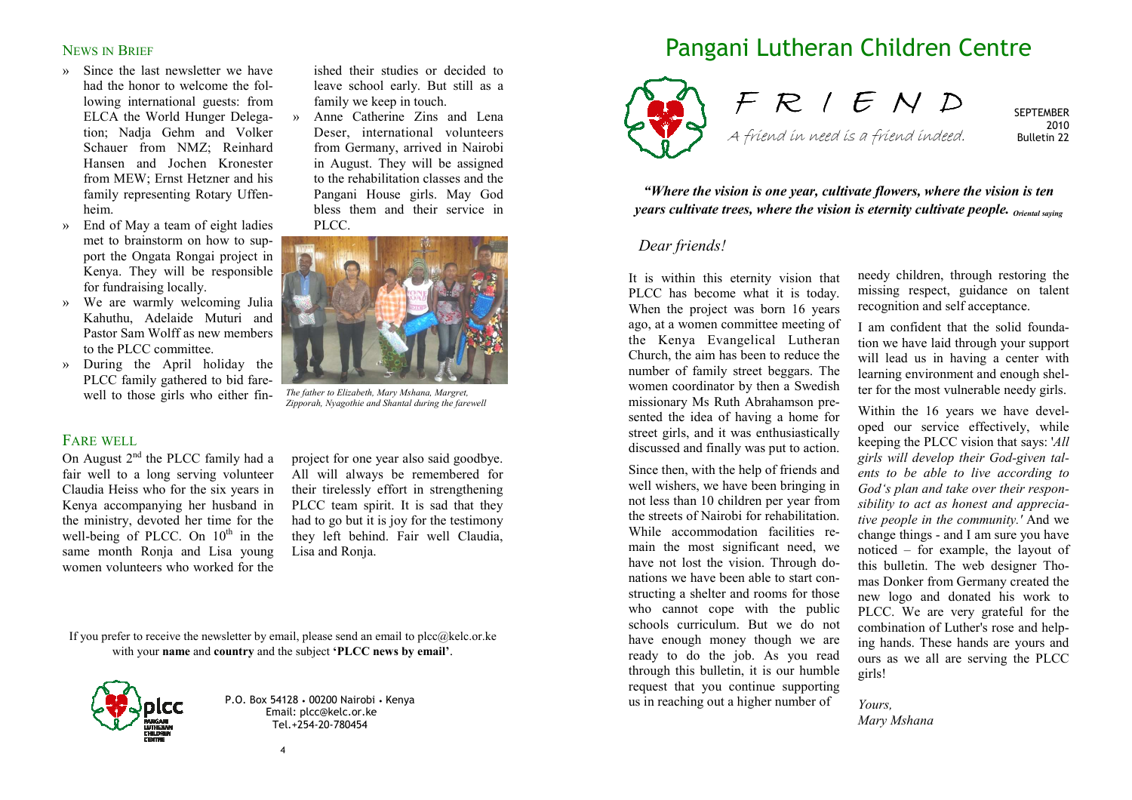## NEWS IN BRIEF

- » Since the last newsletter we have had the honor to welcome the following international guests: from ELCA the World Hunger Delegation; Nadja Gehm and Volker Schauer from NMZ; Reinhard Hansen and Jochen Kronester from MEW; Ernst Hetzner and his family representing Rotary Uffenheim.
- » End of May a team of eight ladies met to brainstorm on how to support the Ongata Rongai project in Kenya. They will be responsible for fundraising locally.
- » We are warmly welcoming Julia Kahuthu, Adelaide Muturi and Pastor Sam Wolff as new members to the PLCC committee.
- » During the April holiday the PLCC family gathered to bid farewell to those girls who either fin-

## FARE WELL

On August  $2<sup>nd</sup>$  the PLCC family had a fair well to a long serving volunteer Claudia Heiss who for the six years in Kenya accompanying her husband in the ministry, devoted her time for the well-being of PLCC. On  $10^{th}$  in the same month Ronja and Lisa young women volunteers who worked for the

ished their studies or decided to<br>leave school early. But still as a<br>family we keep in touch.<br>Anne Catherine Zins and Lena<br>Deser, international volunteers<br>from Germany, arrived in Nairobi<br>in August. They will be assigned<br>t



*The father to Elizabeth, Mary Mshana, Margret, Zipporah, Nyagothie and Shantal during the farewell*

project for one year also said goodbye. All will always be remembered for their tirelessly effort in strengthening PLCC team spirit. It is sad that they had to go but it is joy for the testimony they left behind. Fair well Claudia, Lisa and Ronja.

If you prefer to receive the newsletter by email, please send an email to plcc $@$ kelc.or.ke with your **name** and **country** and the subject **'PLCC news by email'**.



P.O. Box 54128 • 00200 Nairobi • Kenya Email: plcc@kelc.or.ke Tel.+254-20-780454

# Pangani Lutheran Children Centre



F R I E N D A friend in need is a friend indeed.

**SEPTEMBER**  2010 Bulletin 22

*"Where the vision is one year, cultivate flowers, where the vision is ten years cultivate trees, where the vision is eternity cultivate people. Oriental saying*

#### *Dear friends!*

It is within this eternity vision that PLCC has become what it is today. When the project was born 16 years ago, at a women committee meeting of the Kenya Evangelical Lutheran Church, the aim has been to reduce the number of family street beggars. The women coordinator by then a Swedish missionary Ms Ruth Abrahamson presented the idea of having a home for street girls, and it was enthusiastically discussed and finally was put to action.

Since then, with the help of friends and well wishers, we have been bringing in not less than 10 children per year from the streets of Nairobi for rehabilitation. While accommodation facilities remain the most significant need, we have not lost the vision. Through donations we have been able to start constructing a shelter and rooms for those who cannot cope with the public schools curriculum. But we do not have enough money though we are ready to do the job. As you read through this bulletin, it is our humble request that you continue supporting us in reaching out a higher number of

needy children, through restoring the missing respect, guidance on talent recognition and self acceptance.

I am confident that the solid foundation we have laid through your support will lead us in having a center with learning environment and enough shelter for the most vulnerable needy girls.

Within the 16 years we have developed our service effectively, while keeping the PLCC vision that says: '*All girls will develop their God-given talents to be able to live according to God's plan and take over their responsibility to act as honest and appreciative people in the community.'* And we change things - and I am sure you have noticed – for example, the layout of this bulletin. The web designer Thomas Donker from Germany created the new logo and donated his work to PLCC. We are very grateful for the combination of Luther's rose and helping hands. These hands are yours and ours as we all are serving the PLCC girls!

*Yours, Mary Mshana*